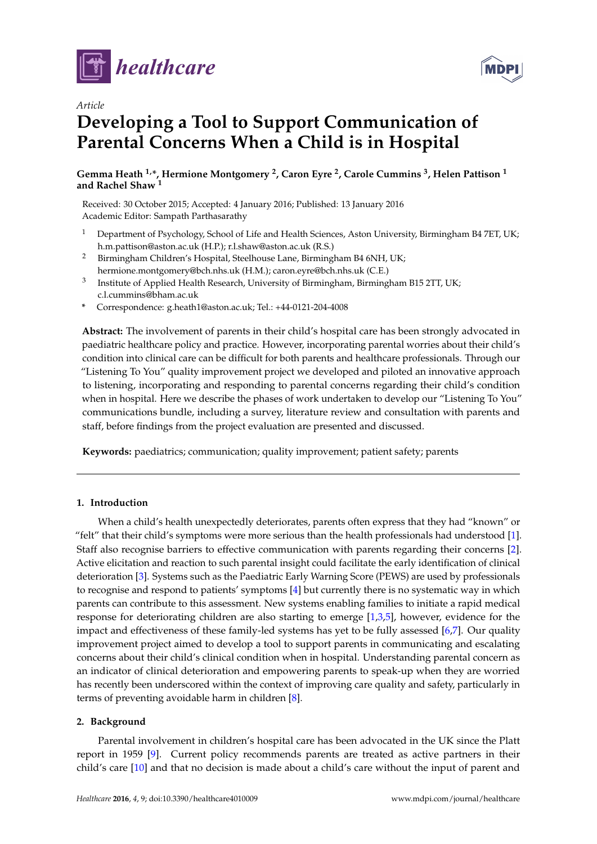



# *Article* **Developing a Tool to Support Communication of Parental Concerns When a Child is in Hospital**

**Gemma Heath 1,\*, Hermione Montgomery <sup>2</sup> , Caron Eyre <sup>2</sup> , Carole Cummins <sup>3</sup> , Helen Pattison <sup>1</sup> and Rachel Shaw <sup>1</sup>**

Received: 30 October 2015; Accepted: 4 January 2016; Published: 13 January 2016 Academic Editor: Sampath Parthasarathy

- <sup>1</sup> Department of Psychology, School of Life and Health Sciences, Aston University, Birmingham B4 7ET, UK; h.m.pattison@aston.ac.uk (H.P.); r.l.shaw@aston.ac.uk (R.S.)
- <sup>2</sup> Birmingham Children's Hospital, Steelhouse Lane, Birmingham B4 6NH, UK; hermione.montgomery@bch.nhs.uk (H.M.); caron.eyre@bch.nhs.uk (C.E.)
- 3 Institute of Applied Health Research, University of Birmingham, Birmingham B15 2TT, UK; c.l.cummins@bham.ac.uk
- **\*** Correspondence: g.heath1@aston.ac.uk; Tel.: +44-0121-204-4008

**Abstract:** The involvement of parents in their child's hospital care has been strongly advocated in paediatric healthcare policy and practice. However, incorporating parental worries about their child's condition into clinical care can be difficult for both parents and healthcare professionals. Through our "Listening To You" quality improvement project we developed and piloted an innovative approach to listening, incorporating and responding to parental concerns regarding their child's condition when in hospital. Here we describe the phases of work undertaken to develop our "Listening To You" communications bundle, including a survey, literature review and consultation with parents and staff, before findings from the project evaluation are presented and discussed.

**Keywords:** paediatrics; communication; quality improvement; patient safety; parents

# **1. Introduction**

When a child's health unexpectedly deteriorates, parents often express that they had "known" or "felt" that their child's symptoms were more serious than the health professionals had understood [\[1\]](#page-11-0). Staff also recognise barriers to effective communication with parents regarding their concerns [\[2\]](#page-11-1). Active elicitation and reaction to such parental insight could facilitate the early identification of clinical deterioration [\[3\]](#page-11-2). Systems such as the Paediatric Early Warning Score (PEWS) are used by professionals to recognise and respond to patients' symptoms [\[4\]](#page-11-3) but currently there is no systematic way in which parents can contribute to this assessment. New systems enabling families to initiate a rapid medical response for deteriorating children are also starting to emerge [\[1](#page-11-0)[,3](#page-11-2)[,5\]](#page-11-4), however, evidence for the impact and effectiveness of these family-led systems has yet to be fully assessed [\[6](#page-11-5)[,7\]](#page-11-6). Our quality improvement project aimed to develop a tool to support parents in communicating and escalating concerns about their child's clinical condition when in hospital. Understanding parental concern as an indicator of clinical deterioration and empowering parents to speak-up when they are worried has recently been underscored within the context of improving care quality and safety, particularly in terms of preventing avoidable harm in children [\[8\]](#page-11-7).

## **2. Background**

Parental involvement in children's hospital care has been advocated in the UK since the Platt report in 1959 [\[9\]](#page-11-8). Current policy recommends parents are treated as active partners in their child's care [\[10\]](#page-11-9) and that no decision is made about a child's care without the input of parent and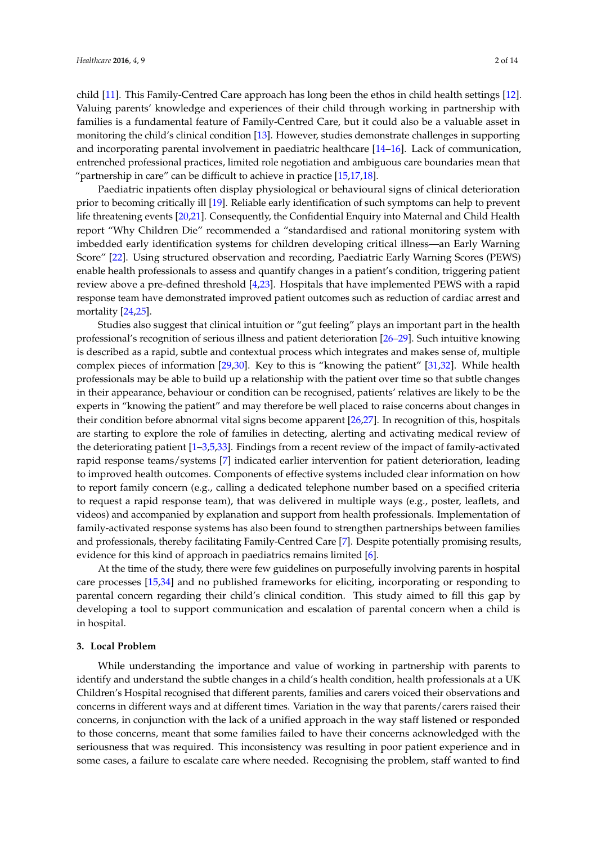child [\[11\]](#page-11-10). This Family-Centred Care approach has long been the ethos in child health settings [\[12\]](#page-11-11). Valuing parents' knowledge and experiences of their child through working in partnership with families is a fundamental feature of Family-Centred Care, but it could also be a valuable asset in monitoring the child's clinical condition [\[13\]](#page-11-12). However, studies demonstrate challenges in supporting and incorporating parental involvement in paediatric healthcare [\[14–](#page-11-13)[16\]](#page-11-14). Lack of communication, entrenched professional practices, limited role negotiation and ambiguous care boundaries mean that "partnership in care" can be difficult to achieve in practice  $[15,17,18]$  $[15,17,18]$  $[15,17,18]$ .

Paediatric inpatients often display physiological or behavioural signs of clinical deterioration prior to becoming critically ill [\[19\]](#page-12-2). Reliable early identification of such symptoms can help to prevent life threatening events [\[20](#page-12-3)[,21\]](#page-12-4). Consequently, the Confidential Enquiry into Maternal and Child Health report "Why Children Die" recommended a "standardised and rational monitoring system with imbedded early identification systems for children developing critical illness—an Early Warning Score" [\[22\]](#page-12-5). Using structured observation and recording, Paediatric Early Warning Scores (PEWS) enable health professionals to assess and quantify changes in a patient's condition, triggering patient review above a pre-defined threshold [\[4](#page-11-3)[,23\]](#page-12-6). Hospitals that have implemented PEWS with a rapid response team have demonstrated improved patient outcomes such as reduction of cardiac arrest and mortality [\[24](#page-12-7)[,25\]](#page-12-8).

Studies also suggest that clinical intuition or "gut feeling" plays an important part in the health professional's recognition of serious illness and patient deterioration [\[26](#page-12-9)[–29\]](#page-12-10). Such intuitive knowing is described as a rapid, subtle and contextual process which integrates and makes sense of, multiple complex pieces of information [\[29,](#page-12-10)[30\]](#page-12-11). Key to this is "knowing the patient" [\[31,](#page-12-12)[32\]](#page-12-13). While health professionals may be able to build up a relationship with the patient over time so that subtle changes in their appearance, behaviour or condition can be recognised, patients' relatives are likely to be the experts in "knowing the patient" and may therefore be well placed to raise concerns about changes in their condition before abnormal vital signs become apparent [\[26,](#page-12-9)[27\]](#page-12-14). In recognition of this, hospitals are starting to explore the role of families in detecting, alerting and activating medical review of the deteriorating patient [\[1–](#page-11-0)[3,](#page-11-2)[5,](#page-11-4)[33\]](#page-12-15). Findings from a recent review of the impact of family-activated rapid response teams/systems [\[7\]](#page-11-6) indicated earlier intervention for patient deterioration, leading to improved health outcomes. Components of effective systems included clear information on how to report family concern (e.g., calling a dedicated telephone number based on a specified criteria to request a rapid response team), that was delivered in multiple ways (e.g., poster, leaflets, and videos) and accompanied by explanation and support from health professionals. Implementation of family-activated response systems has also been found to strengthen partnerships between families and professionals, thereby facilitating Family-Centred Care [\[7\]](#page-11-6). Despite potentially promising results, evidence for this kind of approach in paediatrics remains limited [\[6\]](#page-11-5).

At the time of the study, there were few guidelines on purposefully involving parents in hospital care processes [\[15,](#page-11-15)[34\]](#page-12-16) and no published frameworks for eliciting, incorporating or responding to parental concern regarding their child's clinical condition. This study aimed to fill this gap by developing a tool to support communication and escalation of parental concern when a child is in hospital.

#### **3. Local Problem**

While understanding the importance and value of working in partnership with parents to identify and understand the subtle changes in a child's health condition, health professionals at a UK Children's Hospital recognised that different parents, families and carers voiced their observations and concerns in different ways and at different times. Variation in the way that parents/carers raised their concerns, in conjunction with the lack of a unified approach in the way staff listened or responded to those concerns, meant that some families failed to have their concerns acknowledged with the seriousness that was required. This inconsistency was resulting in poor patient experience and in some cases, a failure to escalate care where needed. Recognising the problem, staff wanted to find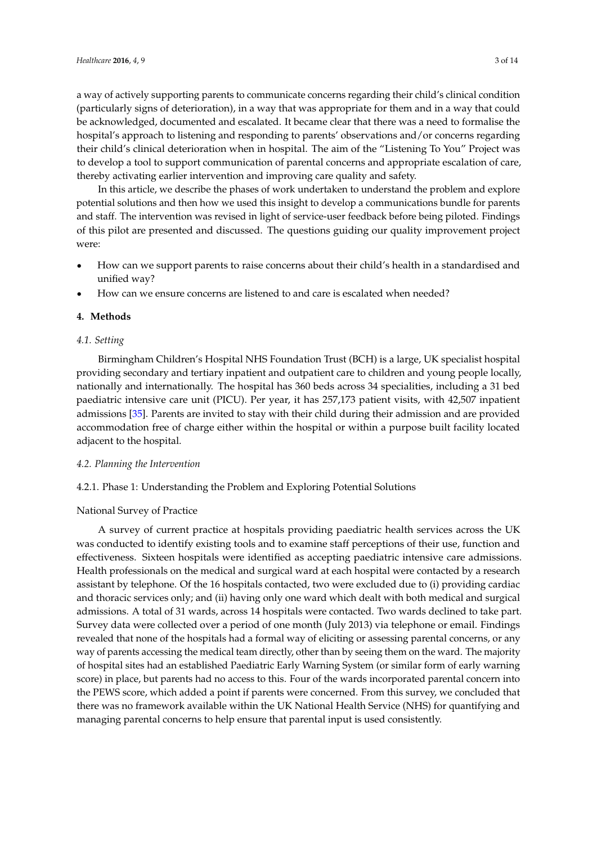a way of actively supporting parents to communicate concerns regarding their child's clinical condition (particularly signs of deterioration), in a way that was appropriate for them and in a way that could be acknowledged, documented and escalated. It became clear that there was a need to formalise the hospital's approach to listening and responding to parents' observations and/or concerns regarding their child's clinical deterioration when in hospital. The aim of the "Listening To You" Project was to develop a tool to support communication of parental concerns and appropriate escalation of care, thereby activating earlier intervention and improving care quality and safety.

In this article, we describe the phases of work undertaken to understand the problem and explore potential solutions and then how we used this insight to develop a communications bundle for parents and staff. The intervention was revised in light of service-user feedback before being piloted. Findings of this pilot are presented and discussed. The questions guiding our quality improvement project were:

- ' How can we support parents to raise concerns about their child's health in a standardised and unified way?
- ' How can we ensure concerns are listened to and care is escalated when needed?

## **4. Methods**

## *4.1. Setting*

Birmingham Children's Hospital NHS Foundation Trust (BCH) is a large, UK specialist hospital providing secondary and tertiary inpatient and outpatient care to children and young people locally, nationally and internationally. The hospital has 360 beds across 34 specialities, including a 31 bed paediatric intensive care unit (PICU). Per year, it has 257,173 patient visits, with 42,507 inpatient admissions [\[35\]](#page-12-17). Parents are invited to stay with their child during their admission and are provided accommodation free of charge either within the hospital or within a purpose built facility located adjacent to the hospital.

#### *4.2. Planning the Intervention*

## 4.2.1. Phase 1: Understanding the Problem and Exploring Potential Solutions

#### National Survey of Practice

A survey of current practice at hospitals providing paediatric health services across the UK was conducted to identify existing tools and to examine staff perceptions of their use, function and effectiveness. Sixteen hospitals were identified as accepting paediatric intensive care admissions. Health professionals on the medical and surgical ward at each hospital were contacted by a research assistant by telephone. Of the 16 hospitals contacted, two were excluded due to (i) providing cardiac and thoracic services only; and (ii) having only one ward which dealt with both medical and surgical admissions. A total of 31 wards, across 14 hospitals were contacted. Two wards declined to take part. Survey data were collected over a period of one month (July 2013) via telephone or email. Findings revealed that none of the hospitals had a formal way of eliciting or assessing parental concerns, or any way of parents accessing the medical team directly, other than by seeing them on the ward. The majority of hospital sites had an established Paediatric Early Warning System (or similar form of early warning score) in place, but parents had no access to this. Four of the wards incorporated parental concern into the PEWS score, which added a point if parents were concerned. From this survey, we concluded that there was no framework available within the UK National Health Service (NHS) for quantifying and managing parental concerns to help ensure that parental input is used consistently.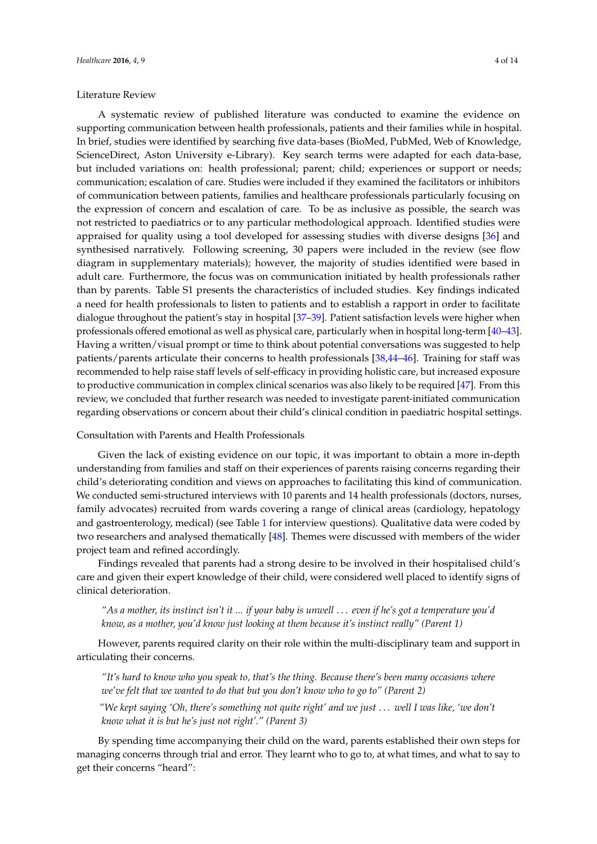#### Literature Review

A systematic review of published literature was conducted to examine the evidence on supporting communication between health professionals, patients and their families while in hospital. In brief, studies were identified by searching five data-bases (BioMed, PubMed, Web of Knowledge, ScienceDirect, Aston University e-Library). Key search terms were adapted for each data-base, but included variations on: health professional; parent; child; experiences or support or needs; communication; escalation of care. Studies were included if they examined the facilitators or inhibitors of communication between patients, families and healthcare professionals particularly focusing on the expression of concern and escalation of care. To be as inclusive as possible, the search was not restricted to paediatrics or to any particular methodological approach. Identified studies were appraised for quality using a tool developed for assessing studies with diverse designs [\[36\]](#page-12-18) and synthesised narratively. Following screening, 30 papers were included in the review (see flow diagram in supplementary materials); however, the majority of studies identified were based in adult care. Furthermore, the focus was on communication initiated by health professionals rather than by parents. Table S1 presents the characteristics of included studies. Key findings indicated a need for health professionals to listen to patients and to establish a rapport in order to facilitate dialogue throughout the patient's stay in hospital [\[37–](#page-12-19)[39\]](#page-12-20). Patient satisfaction levels were higher when professionals offered emotional as well as physical care, particularly when in hospital long-term [\[40–](#page-12-21)[43\]](#page-13-0). Having a written/visual prompt or time to think about potential conversations was suggested to help patients/parents articulate their concerns to health professionals [\[38](#page-12-22)[,44–](#page-13-1)[46\]](#page-13-2). Training for staff was recommended to help raise staff levels of self-efficacy in providing holistic care, but increased exposure to productive communication in complex clinical scenarios was also likely to be required [\[47\]](#page-13-3). From this review, we concluded that further research was needed to investigate parent-initiated communication regarding observations or concern about their child's clinical condition in paediatric hospital settings.

## Consultation with Parents and Health Professionals

Given the lack of existing evidence on our topic, it was important to obtain a more in-depth understanding from families and staff on their experiences of parents raising concerns regarding their child's deteriorating condition and views on approaches to facilitating this kind of communication. We conducted semi-structured interviews with 10 parents and 14 health professionals (doctors, nurses, family advocates) recruited from wards covering a range of clinical areas (cardiology, hepatology and gastroenterology, medical) (see Table [1](#page-4-0) for interview questions). Qualitative data were coded by two researchers and analysed thematically [\[48\]](#page-13-4). Themes were discussed with members of the wider project team and refined accordingly.

Findings revealed that parents had a strong desire to be involved in their hospitalised child's care and given their expert knowledge of their child, were considered well placed to identify signs of clinical deterioration.

*"As a mother, its instinct isn't it ... if your baby is unwell* . . . *even if he's got a temperature you'd know, as a mother, you'd know just looking at them because it's instinct really" (Parent 1)*

However, parents required clarity on their role within the multi-disciplinary team and support in articulating their concerns.

*"It's hard to know who you speak to, that's the thing. Because there's been many occasions where we've felt that we wanted to do that but you don't know who to go to" (Parent 2)*

*"We kept saying 'Oh, there's something not quite right' and we just* . . . *well I was like, 'we don't know what it is but he's just not right'." (Parent 3)*

By spending time accompanying their child on the ward, parents established their own steps for managing concerns through trial and error. They learnt who to go to, at what times, and what to say to get their concerns "heard":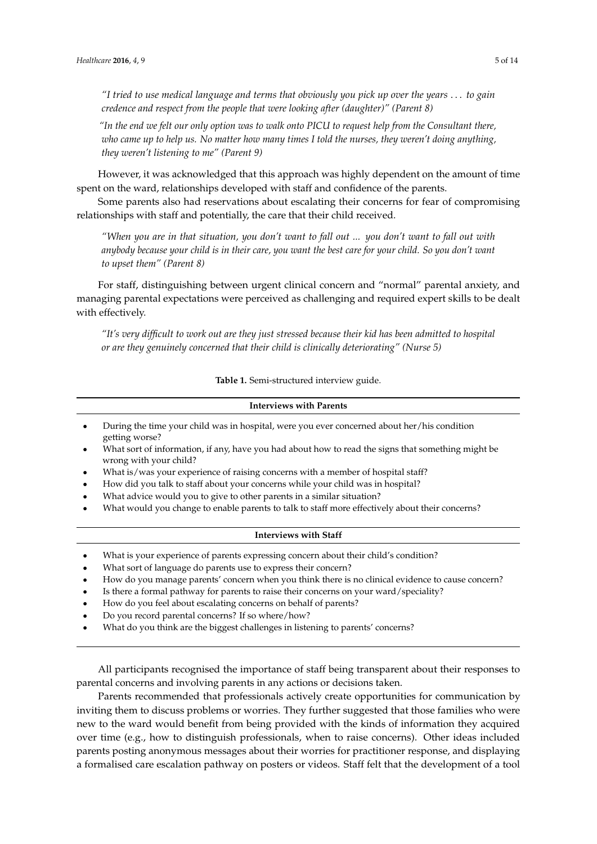*"I tried to use medical language and terms that obviously you pick up over the years* . . . *to gain credence and respect from the people that were looking after (daughter)" (Parent 8)*

*"In the end we felt our only option was to walk onto PICU to request help from the Consultant there, who came up to help us. No matter how many times I told the nurses, they weren't doing anything, they weren't listening to me" (Parent 9)*

However, it was acknowledged that this approach was highly dependent on the amount of time spent on the ward, relationships developed with staff and confidence of the parents.

Some parents also had reservations about escalating their concerns for fear of compromising relationships with staff and potentially, the care that their child received.

*"When you are in that situation, you don't want to fall out ... you don't want to fall out with anybody because your child is in their care, you want the best care for your child. So you don't want to upset them" (Parent 8)*

For staff, distinguishing between urgent clinical concern and "normal" parental anxiety, and managing parental expectations were perceived as challenging and required expert skills to be dealt with effectively.

<span id="page-4-0"></span>*"It's very difficult to work out are they just stressed because their kid has been admitted to hospital or are they genuinely concerned that their child is clinically deteriorating" (Nurse 5)*

**Table 1.** Semi-structured interview guide.

## **Interviews with Parents**

- ' During the time your child was in hospital, were you ever concerned about her/his condition getting worse?
- What sort of information, if any, have you had about how to read the signs that something might be wrong with your child?
- ' What is/was your experience of raising concerns with a member of hospital staff?
- ' How did you talk to staff about your concerns while your child was in hospital?
- What advice would you to give to other parents in a similar situation?
- ' What would you change to enable parents to talk to staff more effectively about their concerns?

## **Interviews with Staff**

- ' What is your experience of parents expressing concern about their child's condition?
- ' What sort of language do parents use to express their concern?
- ' How do you manage parents' concern when you think there is no clinical evidence to cause concern?
- Is there a formal pathway for parents to raise their concerns on your ward/speciality?
- ' How do you feel about escalating concerns on behalf of parents?
- ' Do you record parental concerns? If so where/how?
- ' What do you think are the biggest challenges in listening to parents' concerns?

All participants recognised the importance of staff being transparent about their responses to parental concerns and involving parents in any actions or decisions taken.

Parents recommended that professionals actively create opportunities for communication by inviting them to discuss problems or worries. They further suggested that those families who were new to the ward would benefit from being provided with the kinds of information they acquired over time (e.g., how to distinguish professionals, when to raise concerns). Other ideas included parents posting anonymous messages about their worries for practitioner response, and displaying a formalised care escalation pathway on posters or videos. Staff felt that the development of a tool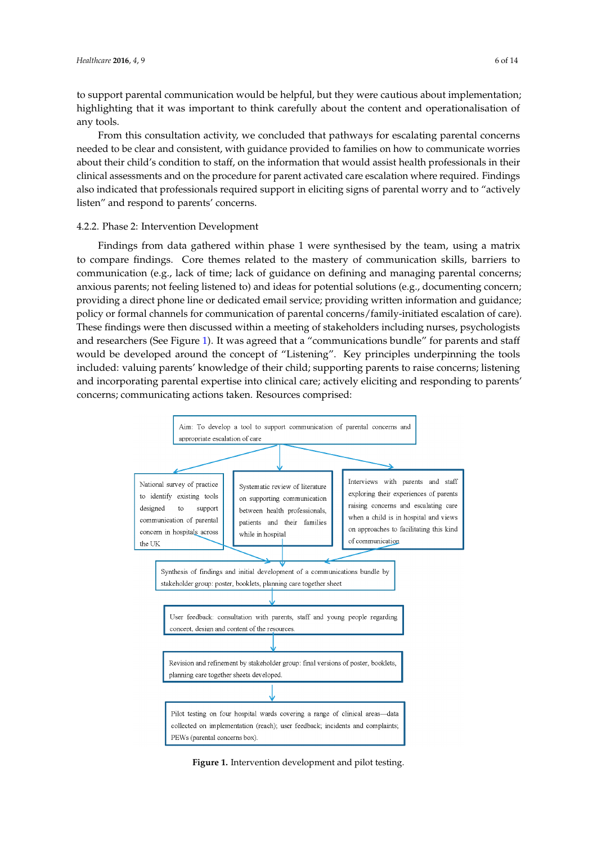to support parental communication would be helpful, but they were cautious about implementation; highlighting that it was important to think carefully about the content and operationalisation of any tools.

From this consultation activity, we concluded that pathways for escalating parental concerns needed to be clear and consistent, with guidance provided to families on how to communicate worries about their child's condition to staff, on the information that would assist health professionals in their clinical assessments and on the procedure for parent activated care escalation where required. Findings also indicated that professionals required support in eliciting signs of parental worry and to "actively listen" and respond to parents' concerns.

#### 4.2.2. Phase 2: Intervention Development

Findings from data gathered within phase 1 were synthesised by the team, using a matrix to compare findings. Core themes related to the mastery of communication skills, barriers to communication (e.g., lack of time; lack of guidance on defining and managing parental concerns; anxious parents; not feeling listened to) and ideas for potential solutions (e.g., documenting concern; providing a direct phone line or dedicated email service; providing written information and guidance; policy or formal channels for communication of parental concerns/family-initiated escalation of care). These findings were then discussed within a meeting of stakeholders including nurses, psychologists and researchers (See Figure [1\)](#page-5-0). It was agreed that a "communications bundle" for parents and staff would be developed around the concept of "Listening". Key principles underpinning the tools included: valuing parents' knowledge of their child; supporting parents to raise concerns; listening and incorporating parental expertise into clinical care; actively eliciting and responding to parents' concerns; communicating actions taken. Resources comprised: ancer prione and or dedicated email service, providing written miorination an  $\epsilon$  (bet right 1). It was agreed that a communications bundle for parti rating parental expertise litto clinical care, actively eliciting and responding

<span id="page-5-0"></span>

**Figure 1.** Intervention development and pilot testing. **Figure 1.** Intervention development and pilot testing.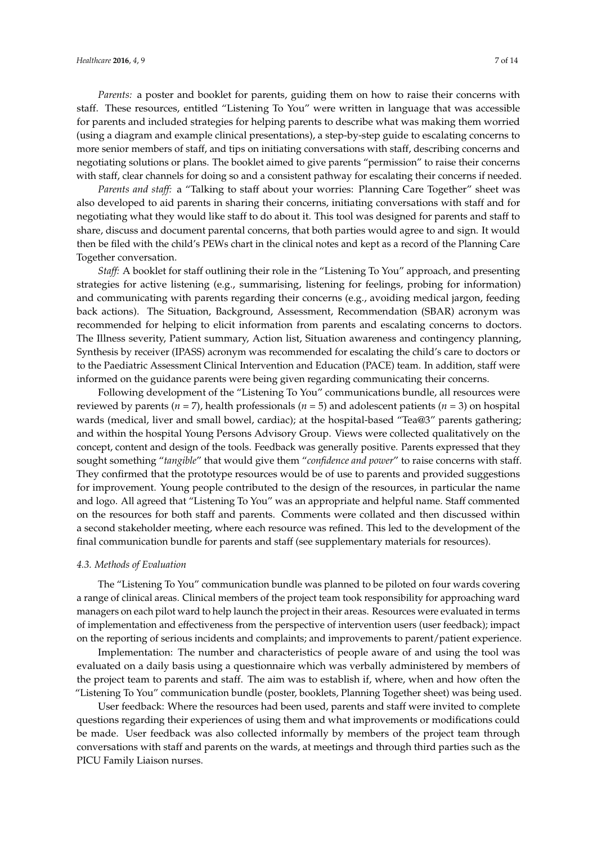*Parents:* a poster and booklet for parents, guiding them on how to raise their concerns with staff. These resources, entitled "Listening To You" were written in language that was accessible for parents and included strategies for helping parents to describe what was making them worried (using a diagram and example clinical presentations), a step-by-step guide to escalating concerns to more senior members of staff, and tips on initiating conversations with staff, describing concerns and negotiating solutions or plans. The booklet aimed to give parents "permission" to raise their concerns with staff, clear channels for doing so and a consistent pathway for escalating their concerns if needed.

*Parents and staff:* a "Talking to staff about your worries: Planning Care Together" sheet was also developed to aid parents in sharing their concerns, initiating conversations with staff and for negotiating what they would like staff to do about it. This tool was designed for parents and staff to share, discuss and document parental concerns, that both parties would agree to and sign. It would then be filed with the child's PEWs chart in the clinical notes and kept as a record of the Planning Care Together conversation.

*Staff:* A booklet for staff outlining their role in the "Listening To You" approach, and presenting strategies for active listening (e.g., summarising, listening for feelings, probing for information) and communicating with parents regarding their concerns (e.g., avoiding medical jargon, feeding back actions). The Situation, Background, Assessment, Recommendation (SBAR) acronym was recommended for helping to elicit information from parents and escalating concerns to doctors. The Illness severity, Patient summary, Action list, Situation awareness and contingency planning, Synthesis by receiver (IPASS) acronym was recommended for escalating the child's care to doctors or to the Paediatric Assessment Clinical Intervention and Education (PACE) team. In addition, staff were informed on the guidance parents were being given regarding communicating their concerns.

Following development of the "Listening To You" communications bundle, all resources were reviewed by parents (*n* = 7), health professionals (*n* = 5) and adolescent patients (*n* = 3) on hospital wards (medical, liver and small bowel, cardiac); at the hospital-based "Tea@3" parents gathering; and within the hospital Young Persons Advisory Group. Views were collected qualitatively on the concept, content and design of the tools. Feedback was generally positive. Parents expressed that they sought something "*tangible*" that would give them "*confidence and power*" to raise concerns with staff. They confirmed that the prototype resources would be of use to parents and provided suggestions for improvement. Young people contributed to the design of the resources, in particular the name and logo. All agreed that "Listening To You" was an appropriate and helpful name. Staff commented on the resources for both staff and parents. Comments were collated and then discussed within a second stakeholder meeting, where each resource was refined. This led to the development of the final communication bundle for parents and staff (see supplementary materials for resources).

## *4.3. Methods of Evaluation*

The "Listening To You" communication bundle was planned to be piloted on four wards covering a range of clinical areas. Clinical members of the project team took responsibility for approaching ward managers on each pilot ward to help launch the project in their areas. Resources were evaluated in terms of implementation and effectiveness from the perspective of intervention users (user feedback); impact on the reporting of serious incidents and complaints; and improvements to parent/patient experience.

Implementation: The number and characteristics of people aware of and using the tool was evaluated on a daily basis using a questionnaire which was verbally administered by members of the project team to parents and staff. The aim was to establish if, where, when and how often the "Listening To You" communication bundle (poster, booklets, Planning Together sheet) was being used.

User feedback: Where the resources had been used, parents and staff were invited to complete questions regarding their experiences of using them and what improvements or modifications could be made. User feedback was also collected informally by members of the project team through conversations with staff and parents on the wards, at meetings and through third parties such as the PICU Family Liaison nurses.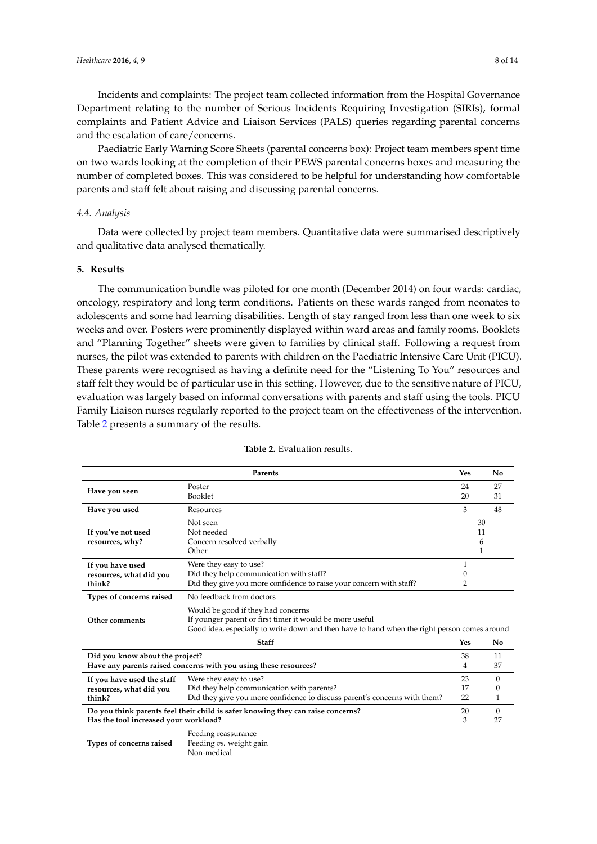Incidents and complaints: The project team collected information from the Hospital Governance Department relating to the number of Serious Incidents Requiring Investigation (SIRIs), formal complaints and Patient Advice and Liaison Services (PALS) queries regarding parental concerns and the escalation of care/concerns.

Paediatric Early Warning Score Sheets (parental concerns box): Project team members spent time on two wards looking at the completion of their PEWS parental concerns boxes and measuring the number of completed boxes. This was considered to be helpful for understanding how comfortable parents and staff felt about raising and discussing parental concerns.

## *4.4. Analysis*

Data were collected by project team members. Quantitative data were summarised descriptively and qualitative data analysed thematically.

## **5. Results**

The communication bundle was piloted for one month (December 2014) on four wards: cardiac, oncology, respiratory and long term conditions. Patients on these wards ranged from neonates to adolescents and some had learning disabilities. Length of stay ranged from less than one week to six weeks and over. Posters were prominently displayed within ward areas and family rooms. Booklets and "Planning Together" sheets were given to families by clinical staff. Following a request from nurses, the pilot was extended to parents with children on the Paediatric Intensive Care Unit (PICU). These parents were recognised as having a definite need for the "Listening To You" resources and staff felt they would be of particular use in this setting. However, due to the sensitive nature of PICU, evaluation was largely based on informal conversations with parents and staff using the tools. PICU Family Liaison nurses regularly reported to the project team on the effectiveness of the intervention. Table [2](#page-8-0) presents a summary of the results.

|                                                                                 | Parents                                                                                      | Yes            | $\mathbf{N}\mathbf{0}$ |
|---------------------------------------------------------------------------------|----------------------------------------------------------------------------------------------|----------------|------------------------|
| Have you seen                                                                   | Poster                                                                                       | 24             | 27                     |
|                                                                                 | <b>Booklet</b>                                                                               | 20             | 31                     |
| Have you used                                                                   | Resources                                                                                    | 3              | 48                     |
| If you've not used<br>resources, why?                                           | Not seen                                                                                     |                | 30                     |
|                                                                                 | Not needed                                                                                   |                | 11                     |
|                                                                                 | Concern resolved verbally                                                                    |                | 6                      |
|                                                                                 | Other                                                                                        |                | 1                      |
| If you have used<br>resources, what did you<br>think?                           | Were they easy to use?                                                                       | 1              |                        |
|                                                                                 | Did they help communication with staff?                                                      | $\Omega$       |                        |
|                                                                                 | Did they give you more confidence to raise your concern with staff?                          | $\overline{2}$ |                        |
| Types of concerns raised                                                        | No feedback from doctors                                                                     |                |                        |
| Other comments                                                                  | Would be good if they had concerns                                                           |                |                        |
|                                                                                 | If younger parent or first timer it would be more useful                                     |                |                        |
|                                                                                 | Good idea, especially to write down and then have to hand when the right person comes around |                |                        |
|                                                                                 | Staff                                                                                        | Yes            | No                     |
| Did you know about the project?                                                 |                                                                                              | 38             | 11                     |
| Have any parents raised concerns with you using these resources?                |                                                                                              | 4              | 37                     |
| If you have used the staff<br>resources, what did you<br>think?                 | Were they easy to use?                                                                       | 23             | $\Omega$               |
|                                                                                 | Did they help communication with parents?                                                    | 17             | 0                      |
|                                                                                 | Did they give you more confidence to discuss parent's concerns with them?                    | 22             | 1                      |
| Do you think parents feel their child is safer knowing they can raise concerns? |                                                                                              | 20             | $\Omega$               |
| Has the tool increased your workload?                                           |                                                                                              | 3              | 27                     |
|                                                                                 | Feeding reassurance                                                                          |                |                        |
|                                                                                 |                                                                                              |                |                        |
| Types of concerns raised                                                        | Feeding vs. weight gain                                                                      |                |                        |

#### **Table 2.** Evaluation results.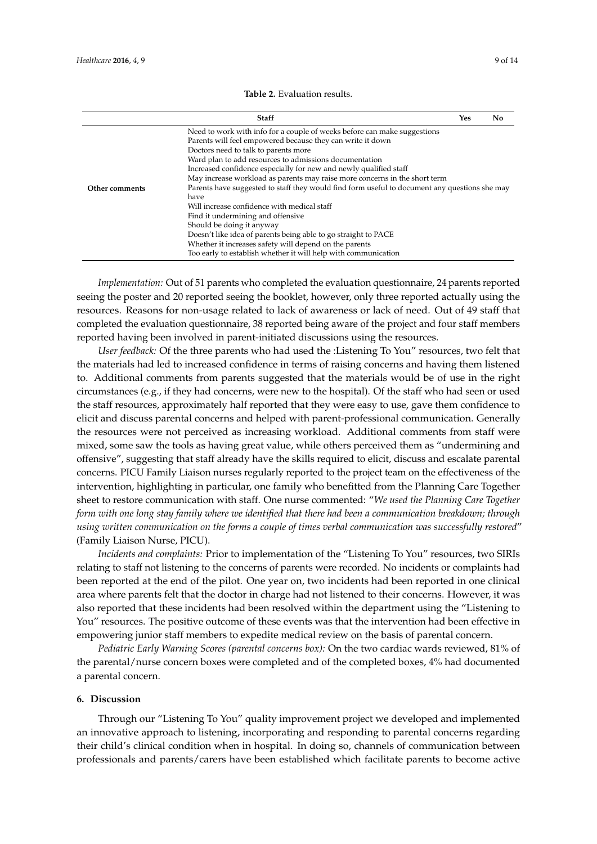<span id="page-8-0"></span>

|                | Staff                                                                                                                                                                                                                                                                                                                                                                                                                                                                                                                                                                                                                                                                                                                                                                                                               | Yes | No. |
|----------------|---------------------------------------------------------------------------------------------------------------------------------------------------------------------------------------------------------------------------------------------------------------------------------------------------------------------------------------------------------------------------------------------------------------------------------------------------------------------------------------------------------------------------------------------------------------------------------------------------------------------------------------------------------------------------------------------------------------------------------------------------------------------------------------------------------------------|-----|-----|
| Other comments | Need to work with info for a couple of weeks before can make suggestions<br>Parents will feel empowered because they can write it down<br>Doctors need to talk to parents more<br>Ward plan to add resources to admissions documentation<br>Increased confidence especially for new and newly qualified staff<br>May increase workload as parents may raise more concerns in the short term<br>Parents have suggested to staff they would find form useful to document any questions she may<br>have<br>Will increase confidence with medical staff<br>Find it undermining and offensive<br>Should be doing it anyway<br>Doesn't like idea of parents being able to go straight to PACE<br>Whether it increases safety will depend on the parents<br>Too early to establish whether it will help with communication |     |     |

**Table 2.** Evaluation results.

*Implementation:* Out of 51 parents who completed the evaluation questionnaire, 24 parents reported seeing the poster and 20 reported seeing the booklet, however, only three reported actually using the resources. Reasons for non-usage related to lack of awareness or lack of need. Out of 49 staff that completed the evaluation questionnaire, 38 reported being aware of the project and four staff members reported having been involved in parent-initiated discussions using the resources.

*User feedback:* Of the three parents who had used the :Listening To You" resources, two felt that the materials had led to increased confidence in terms of raising concerns and having them listened to. Additional comments from parents suggested that the materials would be of use in the right circumstances (e.g., if they had concerns, were new to the hospital). Of the staff who had seen or used the staff resources, approximately half reported that they were easy to use, gave them confidence to elicit and discuss parental concerns and helped with parent-professional communication. Generally the resources were not perceived as increasing workload. Additional comments from staff were mixed, some saw the tools as having great value, while others perceived them as "undermining and offensive", suggesting that staff already have the skills required to elicit, discuss and escalate parental concerns. PICU Family Liaison nurses regularly reported to the project team on the effectiveness of the intervention, highlighting in particular, one family who benefitted from the Planning Care Together sheet to restore communication with staff. One nurse commented: "*We used the Planning Care Together form with one long stay family where we identified that there had been a communication breakdown; through using written communication on the forms a couple of times verbal communication was successfully restored*" (Family Liaison Nurse, PICU).

*Incidents and complaints:* Prior to implementation of the "Listening To You" resources, two SIRIs relating to staff not listening to the concerns of parents were recorded. No incidents or complaints had been reported at the end of the pilot. One year on, two incidents had been reported in one clinical area where parents felt that the doctor in charge had not listened to their concerns. However, it was also reported that these incidents had been resolved within the department using the "Listening to You" resources. The positive outcome of these events was that the intervention had been effective in empowering junior staff members to expedite medical review on the basis of parental concern.

*Pediatric Early Warning Scores (parental concerns box):* On the two cardiac wards reviewed, 81% of the parental/nurse concern boxes were completed and of the completed boxes, 4% had documented a parental concern.

## **6. Discussion**

Through our "Listening To You" quality improvement project we developed and implemented an innovative approach to listening, incorporating and responding to parental concerns regarding their child's clinical condition when in hospital. In doing so, channels of communication between professionals and parents/carers have been established which facilitate parents to become active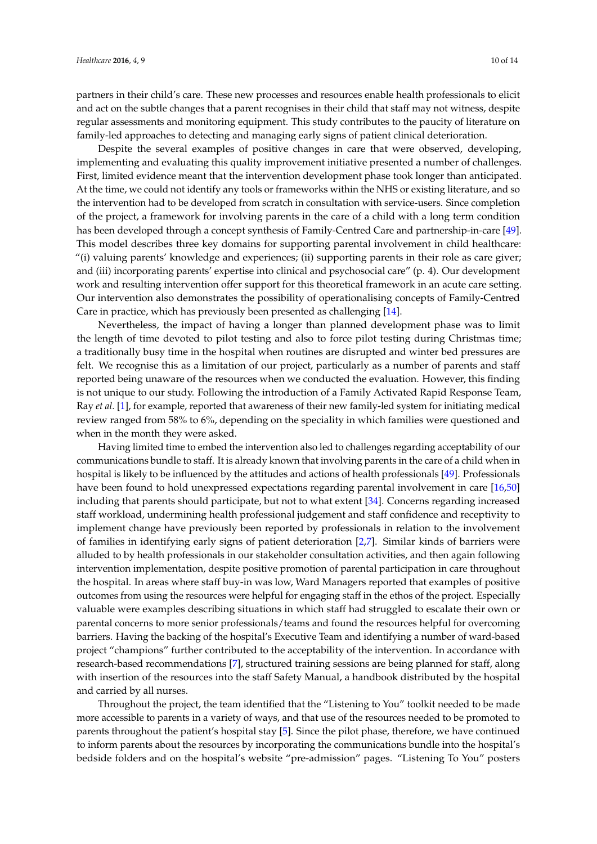partners in their child's care. These new processes and resources enable health professionals to elicit and act on the subtle changes that a parent recognises in their child that staff may not witness, despite regular assessments and monitoring equipment. This study contributes to the paucity of literature on family-led approaches to detecting and managing early signs of patient clinical deterioration.

Despite the several examples of positive changes in care that were observed, developing, implementing and evaluating this quality improvement initiative presented a number of challenges. First, limited evidence meant that the intervention development phase took longer than anticipated. At the time, we could not identify any tools or frameworks within the NHS or existing literature, and so the intervention had to be developed from scratch in consultation with service-users. Since completion of the project, a framework for involving parents in the care of a child with a long term condition has been developed through a concept synthesis of Family-Centred Care and partnership-in-care [\[49\]](#page-13-5). This model describes three key domains for supporting parental involvement in child healthcare: "(i) valuing parents' knowledge and experiences; (ii) supporting parents in their role as care giver; and (iii) incorporating parents' expertise into clinical and psychosocial care" (p. 4). Our development work and resulting intervention offer support for this theoretical framework in an acute care setting. Our intervention also demonstrates the possibility of operationalising concepts of Family-Centred Care in practice, which has previously been presented as challenging [\[14\]](#page-11-13).

Nevertheless, the impact of having a longer than planned development phase was to limit the length of time devoted to pilot testing and also to force pilot testing during Christmas time; a traditionally busy time in the hospital when routines are disrupted and winter bed pressures are felt. We recognise this as a limitation of our project, particularly as a number of parents and staff reported being unaware of the resources when we conducted the evaluation. However, this finding is not unique to our study. Following the introduction of a Family Activated Rapid Response Team, Ray *et al.* [\[1\]](#page-11-0), for example, reported that awareness of their new family-led system for initiating medical review ranged from 58% to 6%, depending on the speciality in which families were questioned and when in the month they were asked.

Having limited time to embed the intervention also led to challenges regarding acceptability of our communications bundle to staff. It is already known that involving parents in the care of a child when in hospital is likely to be influenced by the attitudes and actions of health professionals [\[49\]](#page-13-5). Professionals have been found to hold unexpressed expectations regarding parental involvement in care [\[16](#page-11-14)[,50\]](#page-13-6) including that parents should participate, but not to what extent [\[34\]](#page-12-16). Concerns regarding increased staff workload, undermining health professional judgement and staff confidence and receptivity to implement change have previously been reported by professionals in relation to the involvement of families in identifying early signs of patient deterioration [\[2,](#page-11-1)[7\]](#page-11-6). Similar kinds of barriers were alluded to by health professionals in our stakeholder consultation activities, and then again following intervention implementation, despite positive promotion of parental participation in care throughout the hospital. In areas where staff buy-in was low, Ward Managers reported that examples of positive outcomes from using the resources were helpful for engaging staff in the ethos of the project. Especially valuable were examples describing situations in which staff had struggled to escalate their own or parental concerns to more senior professionals/teams and found the resources helpful for overcoming barriers. Having the backing of the hospital's Executive Team and identifying a number of ward-based project "champions" further contributed to the acceptability of the intervention. In accordance with research-based recommendations [\[7\]](#page-11-6), structured training sessions are being planned for staff, along with insertion of the resources into the staff Safety Manual, a handbook distributed by the hospital and carried by all nurses.

Throughout the project, the team identified that the "Listening to You" toolkit needed to be made more accessible to parents in a variety of ways, and that use of the resources needed to be promoted to parents throughout the patient's hospital stay [\[5\]](#page-11-4). Since the pilot phase, therefore, we have continued to inform parents about the resources by incorporating the communications bundle into the hospital's bedside folders and on the hospital's website "pre-admission" pages. "Listening To You" posters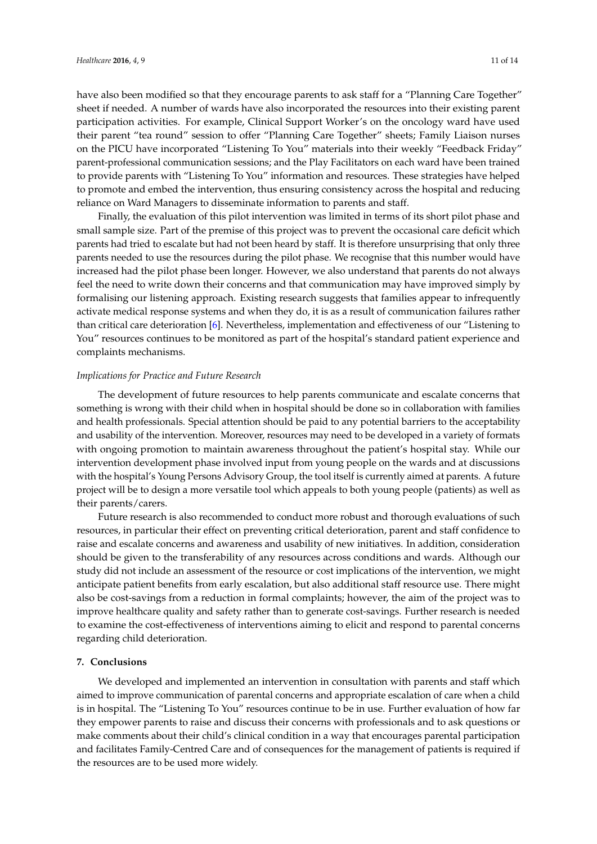have also been modified so that they encourage parents to ask staff for a "Planning Care Together" sheet if needed. A number of wards have also incorporated the resources into their existing parent participation activities. For example, Clinical Support Worker's on the oncology ward have used their parent "tea round" session to offer "Planning Care Together" sheets; Family Liaison nurses on the PICU have incorporated "Listening To You" materials into their weekly "Feedback Friday" parent-professional communication sessions; and the Play Facilitators on each ward have been trained to provide parents with "Listening To You" information and resources. These strategies have helped to promote and embed the intervention, thus ensuring consistency across the hospital and reducing reliance on Ward Managers to disseminate information to parents and staff.

Finally, the evaluation of this pilot intervention was limited in terms of its short pilot phase and small sample size. Part of the premise of this project was to prevent the occasional care deficit which parents had tried to escalate but had not been heard by staff. It is therefore unsurprising that only three parents needed to use the resources during the pilot phase. We recognise that this number would have increased had the pilot phase been longer. However, we also understand that parents do not always feel the need to write down their concerns and that communication may have improved simply by formalising our listening approach. Existing research suggests that families appear to infrequently activate medical response systems and when they do, it is as a result of communication failures rather than critical care deterioration [\[6\]](#page-11-5). Nevertheless, implementation and effectiveness of our "Listening to You" resources continues to be monitored as part of the hospital's standard patient experience and complaints mechanisms.

#### *Implications for Practice and Future Research*

The development of future resources to help parents communicate and escalate concerns that something is wrong with their child when in hospital should be done so in collaboration with families and health professionals. Special attention should be paid to any potential barriers to the acceptability and usability of the intervention. Moreover, resources may need to be developed in a variety of formats with ongoing promotion to maintain awareness throughout the patient's hospital stay. While our intervention development phase involved input from young people on the wards and at discussions with the hospital's Young Persons Advisory Group, the tool itself is currently aimed at parents. A future project will be to design a more versatile tool which appeals to both young people (patients) as well as their parents/carers.

Future research is also recommended to conduct more robust and thorough evaluations of such resources, in particular their effect on preventing critical deterioration, parent and staff confidence to raise and escalate concerns and awareness and usability of new initiatives. In addition, consideration should be given to the transferability of any resources across conditions and wards. Although our study did not include an assessment of the resource or cost implications of the intervention, we might anticipate patient benefits from early escalation, but also additional staff resource use. There might also be cost-savings from a reduction in formal complaints; however, the aim of the project was to improve healthcare quality and safety rather than to generate cost-savings. Further research is needed to examine the cost-effectiveness of interventions aiming to elicit and respond to parental concerns regarding child deterioration.

#### **7. Conclusions**

We developed and implemented an intervention in consultation with parents and staff which aimed to improve communication of parental concerns and appropriate escalation of care when a child is in hospital. The "Listening To You" resources continue to be in use. Further evaluation of how far they empower parents to raise and discuss their concerns with professionals and to ask questions or make comments about their child's clinical condition in a way that encourages parental participation and facilitates Family-Centred Care and of consequences for the management of patients is required if the resources are to be used more widely.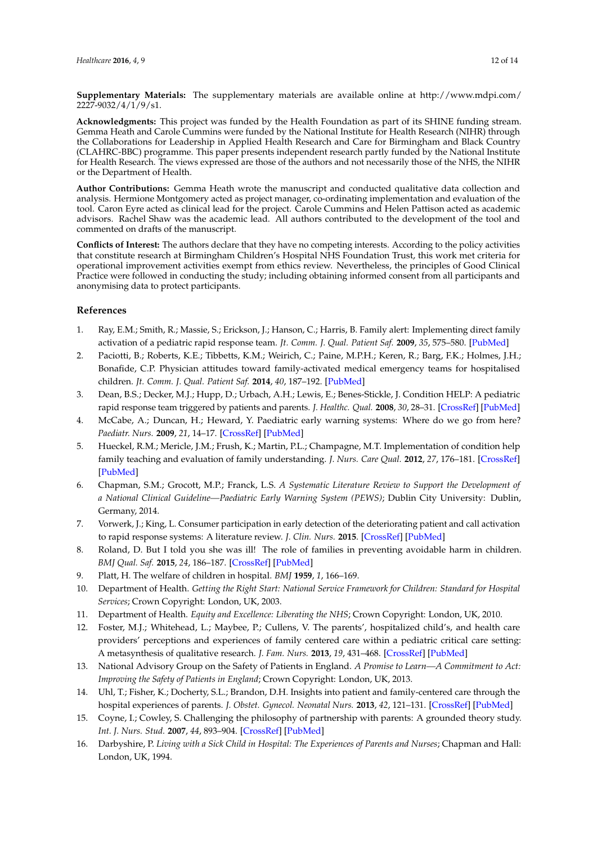**Supplementary Materials:** The supplementary materials are available online at http://www.mdpi.com/ 2227-9032/4/1/9/s1.

**Acknowledgments:** This project was funded by the Health Foundation as part of its SHINE funding stream. Gemma Heath and Carole Cummins were funded by the National Institute for Health Research (NIHR) through the Collaborations for Leadership in Applied Health Research and Care for Birmingham and Black Country (CLAHRC-BBC) programme. This paper presents independent research partly funded by the National Institute for Health Research. The views expressed are those of the authors and not necessarily those of the NHS, the NIHR or the Department of Health.

**Author Contributions:** Gemma Heath wrote the manuscript and conducted qualitative data collection and analysis. Hermione Montgomery acted as project manager, co-ordinating implementation and evaluation of the tool. Caron Eyre acted as clinical lead for the project. Carole Cummins and Helen Pattison acted as academic advisors. Rachel Shaw was the academic lead. All authors contributed to the development of the tool and commented on drafts of the manuscript.

**Conflicts of Interest:** The authors declare that they have no competing interests. According to the policy activities that constitute research at Birmingham Children's Hospital NHS Foundation Trust, this work met criteria for operational improvement activities exempt from ethics review. Nevertheless, the principles of Good Clinical Practice were followed in conducting the study; including obtaining informed consent from all participants and anonymising data to protect participants.

# **References**

- <span id="page-11-0"></span>1. Ray, E.M.; Smith, R.; Massie, S.; Erickson, J.; Hanson, C.; Harris, B. Family alert: Implementing direct family activation of a pediatric rapid response team. *Jt. Comm. J. Qual. Patient Saf.* **2009**, *35*, 575–580. [\[PubMed\]](http://www.ncbi.nlm.nih.gov/pubmed/19947334)
- <span id="page-11-1"></span>2. Paciotti, B.; Roberts, K.E.; Tibbetts, K.M.; Weirich, C.; Paine, M.P.H.; Keren, R.; Barg, F.K.; Holmes, J.H.; Bonafide, C.P. Physician attitudes toward family-activated medical emergency teams for hospitalised children. *Jt. Comm. J. Qual. Patient Saf.* **2014**, *40*, 187–192. [\[PubMed\]](http://www.ncbi.nlm.nih.gov/pubmed/24864527)
- <span id="page-11-2"></span>3. Dean, B.S.; Decker, M.J.; Hupp, D.; Urbach, A.H.; Lewis, E.; Benes-Stickle, J. Condition HELP: A pediatric rapid response team triggered by patients and parents. *J. Healthc. Qual.* **2008**, *30*, 28–31. [\[CrossRef\]](http://dx.doi.org/10.1111/j.1945-1474.2008.tb01139.x) [\[PubMed\]](http://www.ncbi.nlm.nih.gov/pubmed/18507237)
- <span id="page-11-3"></span>4. McCabe, A.; Duncan, H.; Heward, Y. Paediatric early warning systems: Where do we go from here? *Paediatr. Nurs.* **2009**, *21*, 14–17. [\[CrossRef\]](http://dx.doi.org/10.7748/paed2009.02.21.1.14.c6907) [\[PubMed\]](http://www.ncbi.nlm.nih.gov/pubmed/19266776)
- <span id="page-11-4"></span>5. Hueckel, R.M.; Mericle, J.M.; Frush, K.; Martin, P.L.; Champagne, M.T. Implementation of condition help family teaching and evaluation of family understanding. *J. Nurs. Care Qual.* **2012**, *27*, 176–181. [\[CrossRef\]](http://dx.doi.org/10.1097/NCQ.0b013e318235bdec) [\[PubMed\]](http://www.ncbi.nlm.nih.gov/pubmed/21989457)
- <span id="page-11-5"></span>6. Chapman, S.M.; Grocott, M.P.; Franck, L.S. *A Systematic Literature Review to Support the Development of a National Clinical Guideline—Paediatric Early Warning System (PEWS)*; Dublin City University: Dublin, Germany, 2014.
- <span id="page-11-6"></span>7. Vorwerk, J.; King, L. Consumer participation in early detection of the deteriorating patient and call activation to rapid response systems: A literature review. *J. Clin. Nurs.* **2015**. [\[CrossRef\]](http://dx.doi.org/10.1111/jocn.12977) [\[PubMed\]](http://www.ncbi.nlm.nih.gov/pubmed/26373438)
- <span id="page-11-7"></span>8. Roland, D. But I told you she was ill! The role of families in preventing avoidable harm in children. *BMJ Qual. Saf.* **2015**, *24*, 186–187. [\[CrossRef\]](http://dx.doi.org/10.1136/bmjqs-2015-003950) [\[PubMed\]](http://www.ncbi.nlm.nih.gov/pubmed/25628427)
- <span id="page-11-8"></span>9. Platt, H. The welfare of children in hospital. *BMJ* **1959**, *1*, 166–169.
- <span id="page-11-9"></span>10. Department of Health. *Getting the Right Start: National Service Framework for Children: Standard for Hospital Services*; Crown Copyright: London, UK, 2003.
- <span id="page-11-10"></span>11. Department of Health. *Equity and Excellence: Liberating the NHS*; Crown Copyright: London, UK, 2010.
- <span id="page-11-11"></span>12. Foster, M.J.; Whitehead, L.; Maybee, P.; Cullens, V. The parents', hospitalized child's, and health care providers' perceptions and experiences of family centered care within a pediatric critical care setting: A metasynthesis of qualitative research. *J. Fam. Nurs.* **2013**, *19*, 431–468. [\[CrossRef\]](http://dx.doi.org/10.1177/1074840713496317) [\[PubMed\]](http://www.ncbi.nlm.nih.gov/pubmed/23884697)
- <span id="page-11-12"></span>13. National Advisory Group on the Safety of Patients in England. *A Promise to Learn—A Commitment to Act: Improving the Safety of Patients in England*; Crown Copyright: London, UK, 2013.
- <span id="page-11-13"></span>14. Uhl, T.; Fisher, K.; Docherty, S.L.; Brandon, D.H. Insights into patient and family-centered care through the hospital experiences of parents. *J. Obstet. Gynecol. Neonatal Nurs.* **2013**, *42*, 121–131. [\[CrossRef\]](http://dx.doi.org/10.1111/1552-6909.12001) [\[PubMed\]](http://www.ncbi.nlm.nih.gov/pubmed/23316896)
- <span id="page-11-15"></span>15. Coyne, I.; Cowley, S. Challenging the philosophy of partnership with parents: A grounded theory study. *Int. J. Nurs. Stud.* **2007**, *44*, 893–904. [\[CrossRef\]](http://dx.doi.org/10.1016/j.ijnurstu.2006.03.002) [\[PubMed\]](http://www.ncbi.nlm.nih.gov/pubmed/16638613)
- <span id="page-11-14"></span>16. Darbyshire, P. *Living with a Sick Child in Hospital: The Experiences of Parents and Nurses*; Chapman and Hall: London, UK, 1994.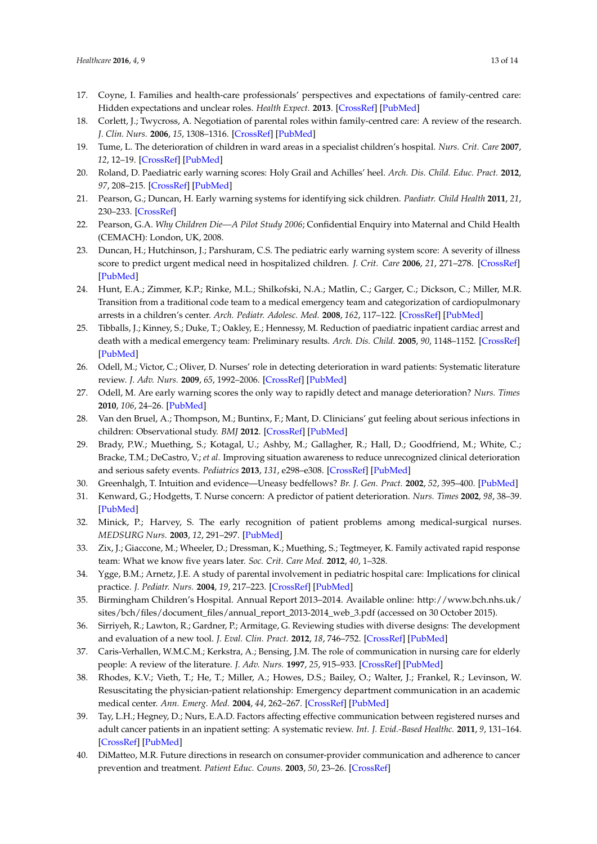- <span id="page-12-0"></span>17. Coyne, I. Families and health-care professionals' perspectives and expectations of family-centred care: Hidden expectations and unclear roles. *Health Expect.* **2013**. [\[CrossRef\]](http://dx.doi.org/10.1111/hex.12104) [\[PubMed\]](http://www.ncbi.nlm.nih.gov/pubmed/23800327)
- <span id="page-12-1"></span>18. Corlett, J.; Twycross, A. Negotiation of parental roles within family-centred care: A review of the research. *J. Clin. Nurs.* **2006**, *15*, 1308–1316. [\[CrossRef\]](http://dx.doi.org/10.1111/j.1365-2702.2006.01407.x) [\[PubMed\]](http://www.ncbi.nlm.nih.gov/pubmed/16968435)
- <span id="page-12-2"></span>19. Tume, L. The deterioration of children in ward areas in a specialist children's hospital. *Nurs. Crit. Care* **2007**, *12*, 12–19. [\[CrossRef\]](http://dx.doi.org/10.1111/j.1478-5153.2006.00195.x) [\[PubMed\]](http://www.ncbi.nlm.nih.gov/pubmed/17883659)
- <span id="page-12-3"></span>20. Roland, D. Paediatric early warning scores: Holy Grail and Achilles' heel. *Arch. Dis. Child. Educ. Pract.* **2012**, *97*, 208–215. [\[CrossRef\]](http://dx.doi.org/10.1136/archdischild-2011-300976) [\[PubMed\]](http://www.ncbi.nlm.nih.gov/pubmed/22761486)
- <span id="page-12-4"></span>21. Pearson, G.; Duncan, H. Early warning systems for identifying sick children. *Paediatr. Child Health* **2011**, *21*, 230–233. [\[CrossRef\]](http://dx.doi.org/10.1016/j.paed.2011.02.007)
- <span id="page-12-5"></span>22. Pearson, G.A. *Why Children Die—A Pilot Study 2006*; Confidential Enquiry into Maternal and Child Health (CEMACH): London, UK, 2008.
- <span id="page-12-6"></span>23. Duncan, H.; Hutchinson, J.; Parshuram, C.S. The pediatric early warning system score: A severity of illness score to predict urgent medical need in hospitalized children. *J. Crit. Care* **2006**, *21*, 271–278. [\[CrossRef\]](http://dx.doi.org/10.1016/j.jcrc.2006.06.007) [\[PubMed\]](http://www.ncbi.nlm.nih.gov/pubmed/16990097)
- <span id="page-12-7"></span>24. Hunt, E.A.; Zimmer, K.P.; Rinke, M.L.; Shilkofski, N.A.; Matlin, C.; Garger, C.; Dickson, C.; Miller, M.R. Transition from a traditional code team to a medical emergency team and categorization of cardiopulmonary arrests in a children's center. *Arch. Pediatr. Adolesc. Med.* **2008**, *162*, 117–122. [\[CrossRef\]](http://dx.doi.org/10.1001/archpediatrics.2007.33) [\[PubMed\]](http://www.ncbi.nlm.nih.gov/pubmed/18250234)
- <span id="page-12-8"></span>25. Tibballs, J.; Kinney, S.; Duke, T.; Oakley, E.; Hennessy, M. Reduction of paediatric inpatient cardiac arrest and death with a medical emergency team: Preliminary results. *Arch. Dis. Child.* **2005**, *90*, 1148–1152. [\[CrossRef\]](http://dx.doi.org/10.1136/adc.2004.069401) [\[PubMed\]](http://www.ncbi.nlm.nih.gov/pubmed/16243869)
- <span id="page-12-9"></span>26. Odell, M.; Victor, C.; Oliver, D. Nurses' role in detecting deterioration in ward patients: Systematic literature review. *J. Adv. Nurs.* **2009**, *65*, 1992–2006. [\[CrossRef\]](http://dx.doi.org/10.1111/j.1365-2648.2009.05109.x) [\[PubMed\]](http://www.ncbi.nlm.nih.gov/pubmed/20568317)
- <span id="page-12-14"></span>27. Odell, M. Are early warning scores the only way to rapidly detect and manage deterioration? *Nurs. Times* **2010**, *106*, 24–26. [\[PubMed\]](http://www.ncbi.nlm.nih.gov/pubmed/20334002)
- 28. Van den Bruel, A.; Thompson, M.; Buntinx, F.; Mant, D. Clinicians' gut feeling about serious infections in children: Observational study. *BMJ* **2012**. [\[CrossRef\]](http://dx.doi.org/10.1136/bmj.e6144) [\[PubMed\]](http://www.ncbi.nlm.nih.gov/pubmed/23015034)
- <span id="page-12-10"></span>29. Brady, P.W.; Muething, S.; Kotagal, U.; Ashby, M.; Gallagher, R.; Hall, D.; Goodfriend, M.; White, C.; Bracke, T.M.; DeCastro, V.; *et al*. Improving situation awareness to reduce unrecognized clinical deterioration and serious safety events. *Pediatrics* **2013**, *131*, e298–e308. [\[CrossRef\]](http://dx.doi.org/10.1542/peds.2012-1364) [\[PubMed\]](http://www.ncbi.nlm.nih.gov/pubmed/23230078)
- <span id="page-12-11"></span>30. Greenhalgh, T. Intuition and evidence—Uneasy bedfellows? *Br. J. Gen. Pract.* **2002**, *52*, 395–400. [\[PubMed\]](http://www.ncbi.nlm.nih.gov/pubmed/12014539)
- <span id="page-12-12"></span>31. Kenward, G.; Hodgetts, T. Nurse concern: A predictor of patient deterioration. *Nurs. Times* **2002**, *98*, 38–39. [\[PubMed\]](http://www.ncbi.nlm.nih.gov/pubmed/12168455)
- <span id="page-12-13"></span>32. Minick, P.; Harvey, S. The early recognition of patient problems among medical-surgical nurses. *MEDSURG Nurs.* **2003**, *12*, 291–297. [\[PubMed\]](http://www.ncbi.nlm.nih.gov/pubmed/14608685)
- <span id="page-12-15"></span>33. Zix, J.; Giaccone, M.; Wheeler, D.; Dressman, K.; Muething, S.; Tegtmeyer, K. Family activated rapid response team: What we know five years later. *Soc. Crit. Care Med.* **2012**, *40*, 1–328.
- <span id="page-12-16"></span>34. Ygge, B.M.; Arnetz, J.E. A study of parental involvement in pediatric hospital care: Implications for clinical practice. *J. Pediatr. Nurs.* **2004**, *19*, 217–223. [\[CrossRef\]](http://dx.doi.org/10.1016/j.pedn.2004.02.005) [\[PubMed\]](http://www.ncbi.nlm.nih.gov/pubmed/15185252)
- <span id="page-12-17"></span>35. Birmingham Children's Hospital. Annual Report 2013–2014. Available online: http://www.bch.nhs.uk/ sites/bch/files/document\_files/annual\_report\_2013-2014\_web\_3.pdf (accessed on 30 October 2015).
- <span id="page-12-18"></span>36. Sirriyeh, R.; Lawton, R.; Gardner, P.; Armitage, G. Reviewing studies with diverse designs: The development and evaluation of a new tool. *J. Eval. Clin. Pract.* **2012**, *18*, 746–752. [\[CrossRef\]](http://dx.doi.org/10.1111/j.1365-2753.2011.01662.x) [\[PubMed\]](http://www.ncbi.nlm.nih.gov/pubmed/21410846)
- <span id="page-12-19"></span>37. Caris-Verhallen, W.M.C.M.; Kerkstra, A.; Bensing, J.M. The role of communication in nursing care for elderly people: A review of the literature. *J. Adv. Nurs.* **1997**, *25*, 915–933. [\[CrossRef\]](http://dx.doi.org/10.1046/j.1365-2648.1997.1997025915.x) [\[PubMed\]](http://www.ncbi.nlm.nih.gov/pubmed/9147197)
- <span id="page-12-22"></span>38. Rhodes, K.V.; Vieth, T.; He, T.; Miller, A.; Howes, D.S.; Bailey, O.; Walter, J.; Frankel, R.; Levinson, W. Resuscitating the physician-patient relationship: Emergency department communication in an academic medical center. *Ann. Emerg. Med.* **2004**, *44*, 262–267. [\[CrossRef\]](http://dx.doi.org/10.1016/j.annemergmed.2004.02.035) [\[PubMed\]](http://www.ncbi.nlm.nih.gov/pubmed/15332069)
- <span id="page-12-20"></span>39. Tay, L.H.; Hegney, D.; Nurs, E.A.D. Factors affecting effective communication between registered nurses and adult cancer patients in an inpatient setting: A systematic review. *Int. J. Evid.-Based Healthc.* **2011**, *9*, 131–164. [\[CrossRef\]](http://dx.doi.org/10.1111/j.1744-1609.2011.00212.x) [\[PubMed\]](http://www.ncbi.nlm.nih.gov/pubmed/21599844)
- <span id="page-12-21"></span>40. DiMatteo, M.R. Future directions in research on consumer-provider communication and adherence to cancer prevention and treatment. *Patient Educ. Couns.* **2003**, *50*, 23–26. [\[CrossRef\]](http://dx.doi.org/10.1016/S0738-3991(03)00075-2)